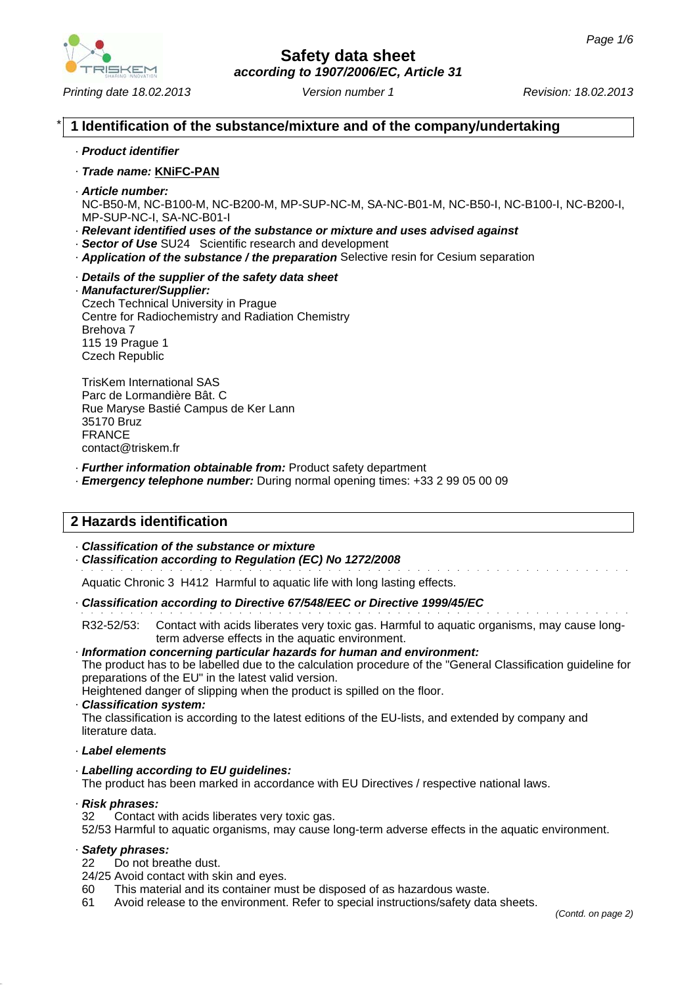

# **Safety data sheet**

*according to 1907/2006/EC, Article 31*

*Printing date 18.02.2013 Revision: 18.02.2013 Version number 1*

# \* **1 Identification of the substance/mixture and of the company/undertaking**

#### · *Product identifier*

#### · *Trade name:* **KNiFC-PAN**

· *Article number:*

NC-B50-M, NC-B100-M, NC-B200-M, MP-SUP-NC-M, SA-NC-B01-M, NC-B50-I, NC-B100-I, NC-B200-I, MP-SUP-NC-I, SA-NC-B01-I

- · *Relevant identified uses of the substance or mixture and uses advised against*
- · *Sector of Use* SU24 Scientific research and development
- · *Application of the substance / the preparation* Selective resin for Cesium separation
- · *Details of the supplier of the safety data sheet*

# · *Manufacturer/Supplier:*

Czech Technical University in Prague Centre for Radiochemistry and Radiation Chemistry Brehova 7 115 19 Prague 1 Czech Republic

TrisKem International SAS Parc de Lormandière Bât. C Rue Maryse Bastié Campus de Ker Lann 35170 Bruz FRANCE contact@triskem.fr

- · *Further information obtainable from:* Product safety department
- · *Emergency telephone number:* During normal opening times: +33 2 99 05 00 09

# **2 Hazards identification**

#### · *Classification of the substance or mixture*

· *Classification according to Regulation (EC) No 1272/2008*

Aquatic Chronic 3 H412 Harmful to aquatic life with long lasting effects.

· *Classification according to Directive 67/548/EEC or Directive 1999/45/EC*

R32-52/53: Contact with acids liberates very toxic gas. Harmful to aquatic organisms, may cause longterm adverse effects in the aquatic environment.

#### · *Information concerning particular hazards for human and environment:*

The product has to be labelled due to the calculation procedure of the "General Classification guideline for preparations of the EU" in the latest valid version.

Heightened danger of slipping when the product is spilled on the floor.

· *Classification system:*

The classification is according to the latest editions of the EU-lists, and extended by company and literature data.

- · *Label elements*
- · *Labelling according to EU guidelines:*

The product has been marked in accordance with EU Directives / respective national laws.

· *Risk phrases:*

32 Contact with acids liberates very toxic gas.

52/53 Harmful to aquatic organisms, may cause long-term adverse effects in the aquatic environment.

#### · *Safety phrases:*

- 22 Do not breathe dust.
- 24/25 Avoid contact with skin and eyes.
- 60 This material and its container must be disposed of as hazardous waste.
- 61 Avoid release to the environment. Refer to special instructions/safety data sheets.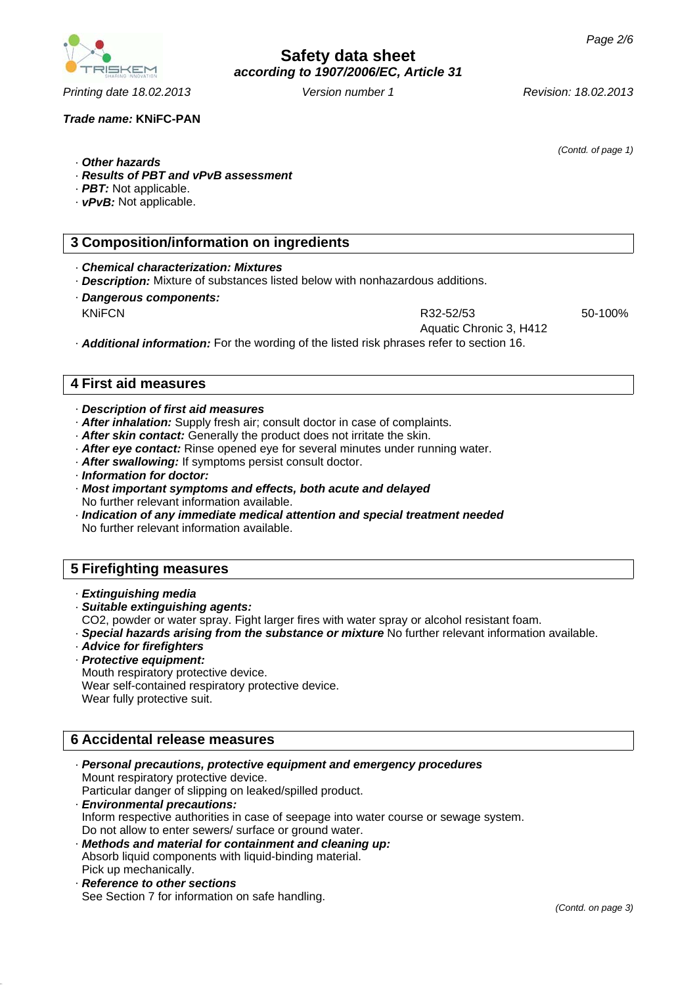#### *Trade name:* **KNiFC-PAN**

· *Other hazards*

- · *Results of PBT and vPvB assessment*
- · *PBT:* Not applicable.
- · *vPvB:* Not applicable.

### **3 Composition/information on ingredients**

· *Chemical characterization: Mixtures*

· *Description:* Mixture of substances listed below with nonhazardous additions.

· *Dangerous components:* KNIFCN R32-52/53

50-100%

Aquatic Chronic 3, H412

· *Additional information:* For the wording of the listed risk phrases refer to section 16.

## **4 First aid measures**

- · *Description of first aid measures*
- · *After inhalation:* Supply fresh air; consult doctor in case of complaints.
- · *After skin contact:* Generally the product does not irritate the skin.
- · *After eye contact:* Rinse opened eye for several minutes under running water.
- · *After swallowing:* If symptoms persist consult doctor.
- · *Information for doctor:*
- · *Most important symptoms and effects, both acute and delayed* No further relevant information available.
- · *Indication of any immediate medical attention and special treatment needed* No further relevant information available.

# **5 Firefighting measures**

- · *Extinguishing media*
- · *Suitable extinguishing agents:*
- CO2, powder or water spray. Fight larger fires with water spray or alcohol resistant foam.
- · *Special hazards arising from the substance or mixture* No further relevant information available.
- · *Advice for firefighters*
- · *Protective equipment:* Mouth respiratory protective device. Wear self-contained respiratory protective device. Wear fully protective suit.

# **6 Accidental release measures**

- · *Personal precautions, protective equipment and emergency procedures* Mount respiratory protective device. Particular danger of slipping on leaked/spilled product.
- · *Environmental precautions:* Inform respective authorities in case of seepage into water course or sewage system. Do not allow to enter sewers/ surface or ground water.
- · *Methods and material for containment and cleaning up:* Absorb liquid components with liquid-binding material. Pick up mechanically.
- · *Reference to other sections* See Section 7 for information on safe handling.



*(Contd. of page 1)*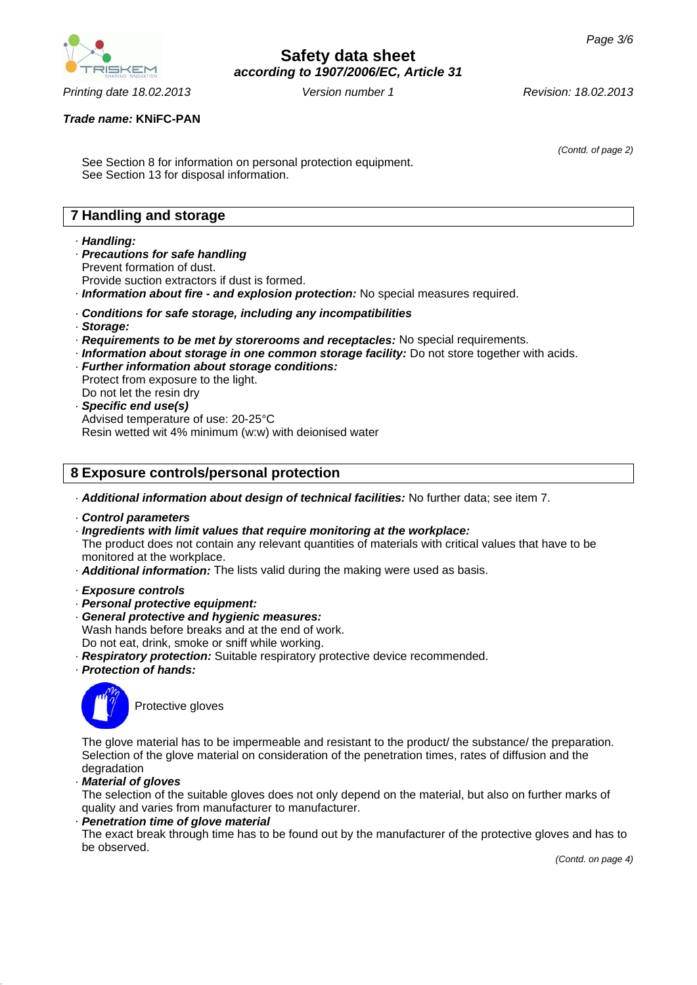

# **Safety data sheet** *according to 1907/2006/EC, Article 31*

*(Contd. of page 2)*

#### *Trade name:* **KNiFC-PAN**

See Section 8 for information on personal protection equipment. See Section 13 for disposal information.

# **7 Handling and storage**

#### · *Handling:*

· *Precautions for safe handling* Prevent formation of dust.

Provide suction extractors if dust is formed.

- · *Information about fire and explosion protection:* No special measures required.
- · *Conditions for safe storage, including any incompatibilities*
- · *Storage:*
- · *Requirements to be met by storerooms and receptacles:* No special requirements.
- · *Information about storage in one common storage facility:* Do not store together with acids.
- · *Further information about storage conditions:* Protect from exposure to the light. Do not let the resin dry
- · *Specific end use(s)* Advised temperature of use: 20-25°C Resin wetted wit 4% minimum (w:w) with deionised water

# **8 Exposure controls/personal protection**

- · *Additional information about design of technical facilities:* No further data; see item 7.
- · *Control parameters*
- · *Ingredients with limit values that require monitoring at the workplace:* The product does not contain any relevant quantities of materials with critical values that have to be monitored at the workplace.
- · *Additional information:* The lists valid during the making were used as basis.
- · *Exposure controls*
- · *Personal protective equipment:*
- · *General protective and hygienic measures:* Wash hands before breaks and at the end of work. Do not eat, drink, smoke or sniff while working.
- · *Respiratory protection:* Suitable respiratory protective device recommended.
- · *Protection of hands:*



Protective gloves

The glove material has to be impermeable and resistant to the product/ the substance/ the preparation. Selection of the glove material on consideration of the penetration times, rates of diffusion and the degradation

· *Material of gloves*

The selection of the suitable gloves does not only depend on the material, but also on further marks of quality and varies from manufacturer to manufacturer.

#### · *Penetration time of glove material*

The exact break through time has to be found out by the manufacturer of the protective gloves and has to be observed.

*(Contd. on page 4)*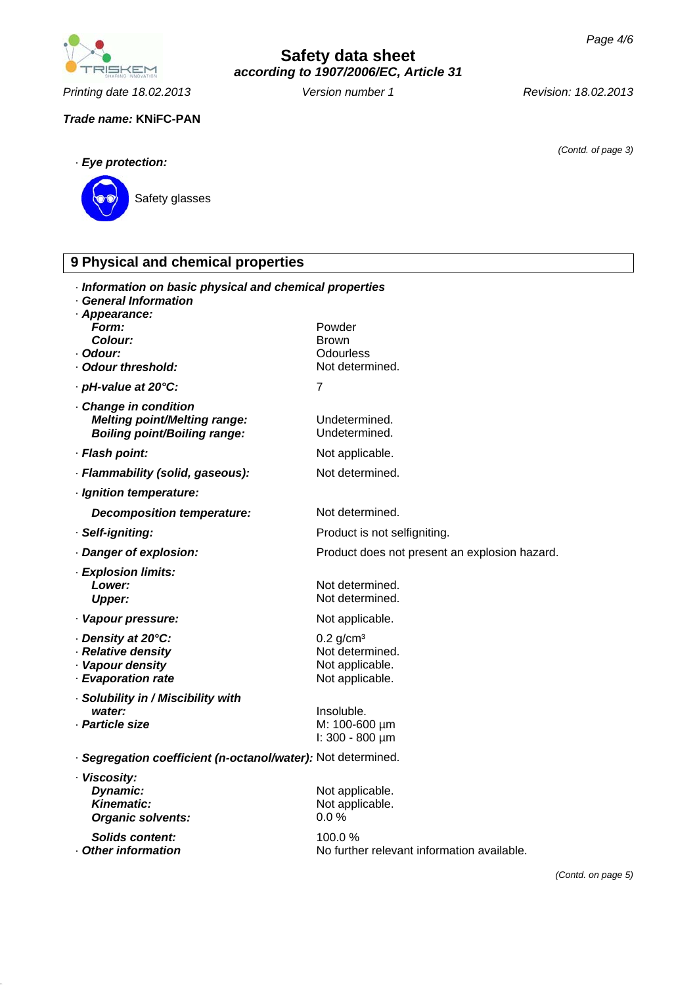**NEKEM** 

*Printing date 18.02.2013 Revision: 18.02.2013 Version number 1*

### *Trade name:* **KNiFC-PAN**

**Safety data sheet** *according to 1907/2006/EC, Article 31*

*(Contd. of page 3)*



| 9 Physical and chemical properties                                                                                           |                                                                                  |  |
|------------------------------------------------------------------------------------------------------------------------------|----------------------------------------------------------------------------------|--|
| · Information on basic physical and chemical properties<br>· General Information<br>· Appearance:<br>Form:<br><b>Colour:</b> | Powder<br><b>Brown</b>                                                           |  |
| · Odour:                                                                                                                     | Odourless                                                                        |  |
| Odour threshold:<br>· pH-value at 20°C:                                                                                      | Not determined.<br>7                                                             |  |
| · Change in condition                                                                                                        |                                                                                  |  |
| <b>Melting point/Melting range:</b><br><b>Boiling point/Boiling range:</b>                                                   | Undetermined.<br>Undetermined.                                                   |  |
| · Flash point:                                                                                                               | Not applicable.                                                                  |  |
| · Flammability (solid, gaseous):                                                                                             | Not determined.                                                                  |  |
| · Ignition temperature:                                                                                                      |                                                                                  |  |
| <b>Decomposition temperature:</b>                                                                                            | Not determined.                                                                  |  |
| · Self-igniting:                                                                                                             | Product is not selfigniting.                                                     |  |
| · Danger of explosion:                                                                                                       | Product does not present an explosion hazard.                                    |  |
| · Explosion limits:<br>Lower:<br><b>Upper:</b>                                                                               | Not determined.<br>Not determined.                                               |  |
| · Vapour pressure:                                                                                                           | Not applicable.                                                                  |  |
| Density at 20°C:<br>· Relative density<br>· Vapour density<br>· Evaporation rate                                             | $0.2$ g/cm <sup>3</sup><br>Not determined.<br>Not applicable.<br>Not applicable. |  |
| · Solubility in / Miscibility with                                                                                           |                                                                                  |  |
| water:<br>· Particle size                                                                                                    | Insoluble.<br>M: 100-600 µm<br>$\ln 300 - 800 \mu m$                             |  |
| · Segregation coefficient (n-octanol/water): Not determined.                                                                 |                                                                                  |  |
| · Viscosity:<br>Dynamic:<br><b>Kinematic:</b><br><b>Organic solvents:</b>                                                    | Not applicable.<br>Not applicable.<br>0.0%                                       |  |
| <b>Solids content:</b><br>Other information                                                                                  | 100.0%<br>No further relevant information available.                             |  |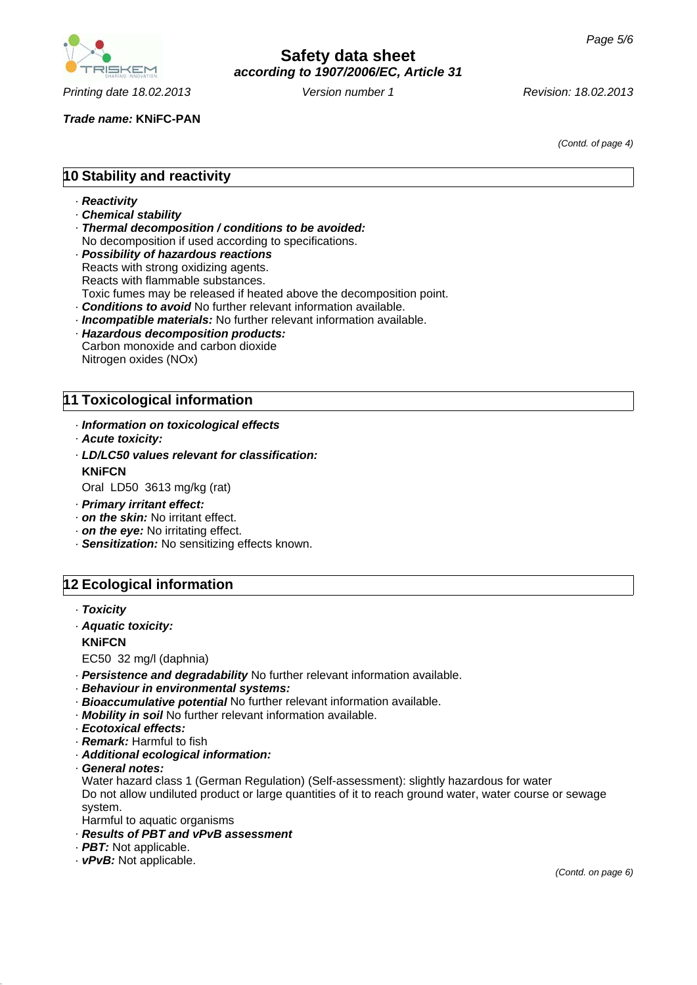

*Trade name:* **KNiFC-PAN**

*(Contd. of page 4)*

# **10 Stability and reactivity**

- · *Reactivity*
- · *Chemical stability*
- · *Thermal decomposition / conditions to be avoided:* No decomposition if used according to specifications.
- · *Possibility of hazardous reactions* Reacts with strong oxidizing agents. Reacts with flammable substances. Toxic fumes may be released if heated above the decomposition point.
- · *Conditions to avoid* No further relevant information available.
- · *Incompatible materials:* No further relevant information available.
- · *Hazardous decomposition products:* Carbon monoxide and carbon dioxide Nitrogen oxides (NOx)

# **11 Toxicological information**

- · *Information on toxicological effects*
- · *Acute toxicity:*
- · *LD/LC50 values relevant for classification:* **KNiFCN**
- Oral LD50 3613 mg/kg (rat)
- · *Primary irritant effect:*
- · *on the skin:* No irritant effect.
- · *on the eye:* No irritating effect.
- · *Sensitization:* No sensitizing effects known.

# **12 Ecological information**

- · *Toxicity*
- · *Aquatic toxicity:*

#### **KNiFCN**

EC50 32 mg/l (daphnia)

- · *Persistence and degradability* No further relevant information available.
- · *Behaviour in environmental systems:*
- · *Bioaccumulative potential* No further relevant information available.
- · *Mobility in soil* No further relevant information available.
- · *Ecotoxical effects:*
- · *Remark:* Harmful to fish
- · *Additional ecological information:*
- · *General notes:*

Water hazard class 1 (German Regulation) (Self-assessment): slightly hazardous for water Do not allow undiluted product or large quantities of it to reach ground water, water course or sewage system.

- Harmful to aquatic organisms
- · *Results of PBT and vPvB assessment*
- · *PBT:* Not applicable.
- · *vPvB:* Not applicable.